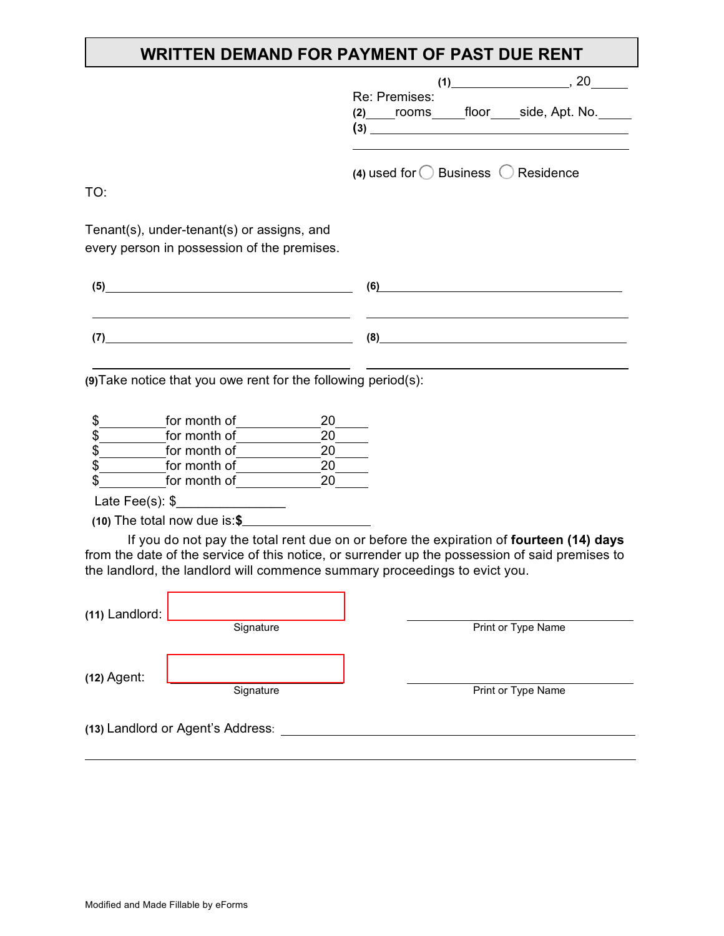## **WRITTEN DEMAND FOR PAYMENT OF PAST DUE RENT**

|                                                                                                                                                                                                                                                                                                                                                                       | $(1)$ , 20                                             |
|-----------------------------------------------------------------------------------------------------------------------------------------------------------------------------------------------------------------------------------------------------------------------------------------------------------------------------------------------------------------------|--------------------------------------------------------|
|                                                                                                                                                                                                                                                                                                                                                                       | Re: Premises:<br>(2) rooms floor side, Apt. No.<br>(3) |
| TO:                                                                                                                                                                                                                                                                                                                                                                   | (4) used for $\bigcirc$ Business $\bigcirc$ Residence  |
| Tenant(s), under-tenant(s) or assigns, and<br>every person in possession of the premises.                                                                                                                                                                                                                                                                             |                                                        |
| $\begin{picture}(5,20) \put(0,0){\vector(1,0){100}} \put(15,0){\vector(1,0){100}} \put(15,0){\vector(1,0){100}} \put(15,0){\vector(1,0){100}} \put(15,0){\vector(1,0){100}} \put(15,0){\vector(1,0){100}} \put(15,0){\vector(1,0){100}} \put(15,0){\vector(1,0){100}} \put(15,0){\vector(1,0){100}} \put(15,0){\vector(1,0){100}} \put(15,0){\vector(1,0){100}} \put$ | (6)                                                    |
| (7)                                                                                                                                                                                                                                                                                                                                                                   | (8)                                                    |
| (9) Take notice that you owe rent for the following period(s):                                                                                                                                                                                                                                                                                                        |                                                        |
| \$<br>for month of<br>20<br>\$<br>20<br>for month of<br>\$<br>for month of<br>20<br>\$<br>20<br>for month of<br>20<br>\$<br>for month of the state of the state of the state of the state of the state of the state of the state of the state of the state of the state of the state of the state of the state of the state of the state of the state of t            |                                                        |
| $(10)$ The total now due is: \$                                                                                                                                                                                                                                                                                                                                       |                                                        |
| If you do not pay the total rent due on or before the expiration of fourteen (14) days<br>from the date of the service of this notice, or surrender up the possession of said premises to<br>the landlord, the landlord will commence summary proceedings to evict you.                                                                                               |                                                        |
| (11) Landlord:<br>Signature                                                                                                                                                                                                                                                                                                                                           | Print or Type Name                                     |
| $(12)$ Agent:<br>Signature                                                                                                                                                                                                                                                                                                                                            | Print or Type Name                                     |
| (13) Landlord or Agent's Address:                                                                                                                                                                                                                                                                                                                                     |                                                        |